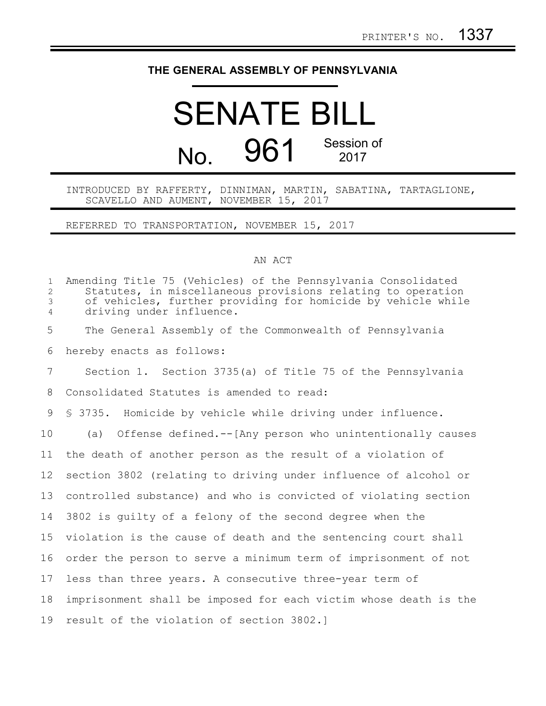## **THE GENERAL ASSEMBLY OF PENNSYLVANIA**

## SENATE BILL No. 961 Session of 2017

INTRODUCED BY RAFFERTY, DINNIMAN, MARTIN, SABATINA, TARTAGLIONE, SCAVELLO AND AUMENT, NOVEMBER 15, 2017

REFERRED TO TRANSPORTATION, NOVEMBER 15, 2017

## AN ACT

| $\mathbf{1}$<br>$\overline{2}$<br>$\mathfrak{Z}$<br>$\overline{4}$ | Amending Title 75 (Vehicles) of the Pennsylvania Consolidated<br>Statutes, in miscellaneous provisions relating to operation<br>of vehicles, further providing for homicide by vehicle while<br>driving under influence. |
|--------------------------------------------------------------------|--------------------------------------------------------------------------------------------------------------------------------------------------------------------------------------------------------------------------|
| 5                                                                  | The General Assembly of the Commonwealth of Pennsylvania                                                                                                                                                                 |
| 6                                                                  | hereby enacts as follows:                                                                                                                                                                                                |
| $7\phantom{.0}$                                                    | Section 1. Section 3735(a) of Title 75 of the Pennsylvania                                                                                                                                                               |
| 8                                                                  | Consolidated Statutes is amended to read:                                                                                                                                                                                |
| 9                                                                  | \$ 3735. Homicide by vehicle while driving under influence.                                                                                                                                                              |
| 10                                                                 | (a) Offense defined.--[Any person who unintentionally causes                                                                                                                                                             |
| 11                                                                 | the death of another person as the result of a violation of                                                                                                                                                              |
| 12                                                                 | section 3802 (relating to driving under influence of alcohol or                                                                                                                                                          |
| 13                                                                 | controlled substance) and who is convicted of violating section                                                                                                                                                          |
| 14                                                                 | 3802 is quilty of a felony of the second degree when the                                                                                                                                                                 |
| 15                                                                 | violation is the cause of death and the sentencing court shall                                                                                                                                                           |
| 16                                                                 | order the person to serve a minimum term of imprisonment of not                                                                                                                                                          |
| 17                                                                 | less than three years. A consecutive three-year term of                                                                                                                                                                  |
| 18                                                                 | imprisonment shall be imposed for each victim whose death is the                                                                                                                                                         |
| 19                                                                 | result of the violation of section 3802.]                                                                                                                                                                                |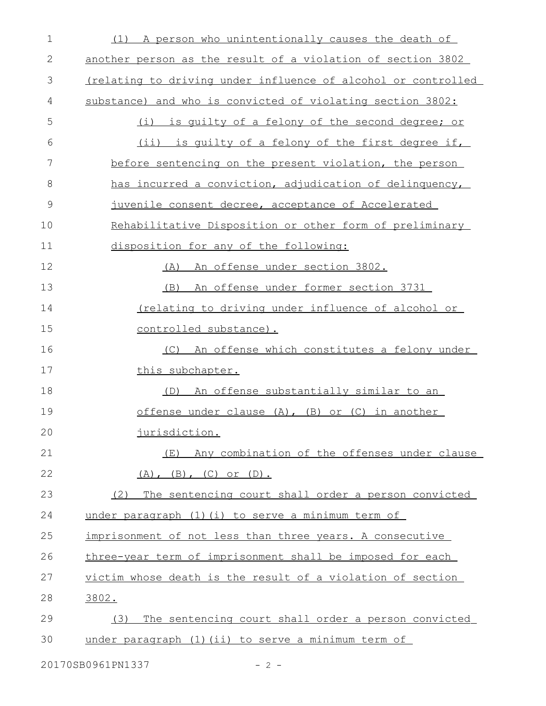| $\mathbf 1$                 | (1) A person who unintentionally causes the death of          |  |
|-----------------------------|---------------------------------------------------------------|--|
| $\mathbf{2}$                | another person as the result of a violation of section 3802   |  |
| 3                           | (relating to driving under influence of alcohol or controlled |  |
| 4                           | substance) and who is convicted of violating section 3802:    |  |
| 5                           | (i) is quilty of a felony of the second degree; or            |  |
| 6                           | (ii) is quilty of a felony of the first degree if,            |  |
| 7                           | before sentencing on the present violation, the person        |  |
| 8                           | has incurred a conviction, adjudication of delinquency,       |  |
| 9                           | juvenile consent decree, acceptance of Accelerated            |  |
| 10                          | Rehabilitative Disposition or other form of preliminary       |  |
| 11                          | disposition for any of the following:                         |  |
| 12                          | An offense under section 3802.<br>(A)                         |  |
| 13                          | An offense under former section 3731<br>(B)                   |  |
| 14                          | <u>(relating to driving under influence of alcohol or</u>     |  |
| 15                          | controlled substance).                                        |  |
| 16                          | (C) An offense which constitutes a felony under               |  |
| 17                          | this subchapter.                                              |  |
| 18                          | <u>An offense substantially similar to an</u><br>(D)          |  |
| 19                          | offense under clause $(A)$ , $(B)$ or $(C)$ in another        |  |
| 20                          | jurisdiction.                                                 |  |
| 21                          | (E) Any combination of the offenses under clause              |  |
| 22                          | $(A)$ , $(B)$ , $(C)$ or $(D)$ .                              |  |
| 23                          | The sentencing court shall order a person convicted<br>(2)    |  |
| 24                          | under paragraph (1) (i) to serve a minimum term of            |  |
| 25                          | imprisonment of not less than three years. A consecutive      |  |
| 26                          | three-year term of imprisonment shall be imposed for each     |  |
| 27                          | victim whose death is the result of a violation of section    |  |
| 28                          | 3802.                                                         |  |
| 29                          | The sentencing court shall order a person convicted<br>(3)    |  |
| 30                          | under paragraph (1) (ii) to serve a minimum term of           |  |
| 20170SB0961PN1337<br>$-2 -$ |                                                               |  |